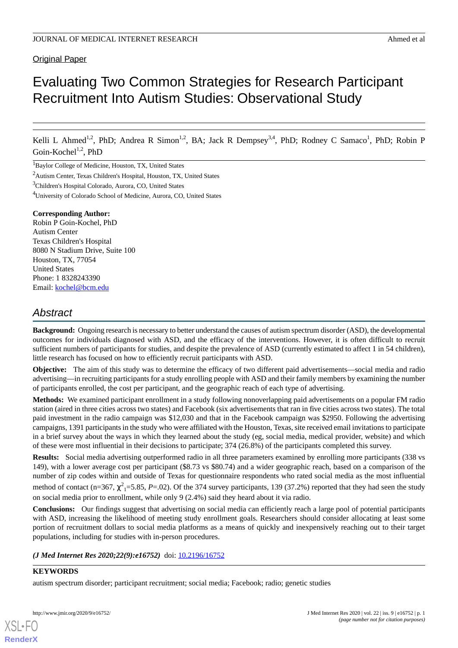# **Original Paper**

# Evaluating Two Common Strategies for Research Participant Recruitment Into Autism Studies: Observational Study

Kelli L Ahmed<sup>1,2</sup>, PhD; Andrea R Simon<sup>1,2</sup>, BA; Jack R Dempsey<sup>3,4</sup>, PhD; Rodney C Samaco<sup>1</sup>, PhD; Robin P Goin-Kochel<sup>1,2</sup>, PhD

<sup>1</sup>Baylor College of Medicine, Houston, TX, United States

<sup>2</sup>Autism Center, Texas Children's Hospital, Houston, TX, United States

<sup>3</sup>Children's Hospital Colorado, Aurora, CO, United States

<sup>4</sup>University of Colorado School of Medicine, Aurora, CO, United States

#### **Corresponding Author:**

Robin P Goin-Kochel, PhD Autism Center Texas Children's Hospital 8080 N Stadium Drive, Suite 100 Houston, TX, 77054 United States Phone: 1 8328243390 Email: [kochel@bcm.edu](mailto:kochel@bcm.edu)

# *Abstract*

**Background:** Ongoing research is necessary to better understand the causes of autism spectrum disorder (ASD), the developmental outcomes for individuals diagnosed with ASD, and the efficacy of the interventions. However, it is often difficult to recruit sufficient numbers of participants for studies, and despite the prevalence of ASD (currently estimated to affect 1 in 54 children), little research has focused on how to efficiently recruit participants with ASD.

**Objective:** The aim of this study was to determine the efficacy of two different paid advertisements—social media and radio advertising—in recruiting participants for a study enrolling people with ASD and their family members by examining the number of participants enrolled, the cost per participant, and the geographic reach of each type of advertising.

**Methods:** We examined participant enrollment in a study following nonoverlapping paid advertisements on a popular FM radio station (aired in three cities across two states) and Facebook (six advertisements that ran in five cities across two states). The total paid investment in the radio campaign was \$12,030 and that in the Facebook campaign was \$2950. Following the advertising campaigns, 1391 participants in the study who were affiliated with the Houston, Texas, site received email invitations to participate in a brief survey about the ways in which they learned about the study (eg, social media, medical provider, website) and which of these were most influential in their decisions to participate; 374 (26.8%) of the participants completed this survey.

**Results:** Social media advertising outperformed radio in all three parameters examined by enrolling more participants (338 vs 149), with a lower average cost per participant (\$8.73 vs \$80.74) and a wider geographic reach, based on a comparison of the number of zip codes within and outside of Texas for questionnaire respondents who rated social media as the most influential method of contact (n=367,  $\chi^2$ <sub>1</sub>=5.85, *P*=.02). Of the 374 survey participants, 139 (37.2%) reported that they had seen the study on social media prior to enrollment, while only 9 (2.4%) said they heard about it via radio.

**Conclusions:** Our findings suggest that advertising on social media can efficiently reach a large pool of potential participants with ASD, increasing the likelihood of meeting study enrollment goals. Researchers should consider allocating at least some portion of recruitment dollars to social media platforms as a means of quickly and inexpensively reaching out to their target populations, including for studies with in-person procedures.

#### *(J Med Internet Res 2020;22(9):e16752)* doi:  $10.2196/16752$

#### **KEYWORDS**

[XSL](http://www.w3.org/Style/XSL)•FO **[RenderX](http://www.renderx.com/)**

autism spectrum disorder; participant recruitment; social media; Facebook; radio; genetic studies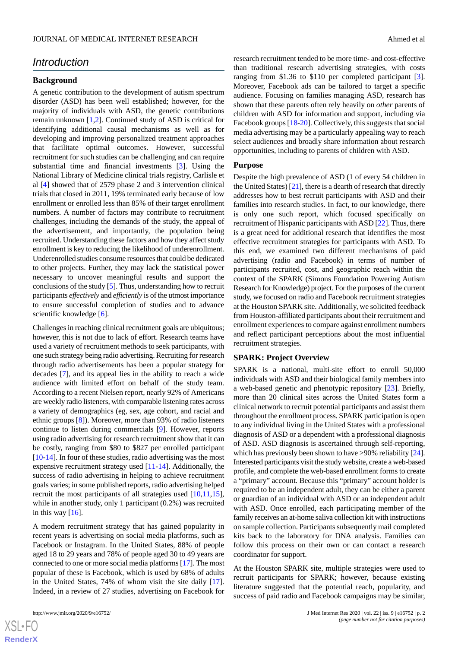# *Introduction*

#### **Background**

A genetic contribution to the development of autism spectrum disorder (ASD) has been well established; however, for the majority of individuals with ASD, the genetic contributions remain unknown [\[1](#page-7-0),[2\]](#page-7-1). Continued study of ASD is critical for identifying additional causal mechanisms as well as for developing and improving personalized treatment approaches that facilitate optimal outcomes. However, successful recruitment for such studies can be challenging and can require substantial time and financial investments [[3\]](#page-7-2). Using the National Library of Medicine clinical trials registry, Carlisle et al [[4\]](#page-7-3) showed that of 2579 phase 2 and 3 intervention clinical trials that closed in 2011, 19% terminated early because of low enrollment or enrolled less than 85% of their target enrollment numbers. A number of factors may contribute to recruitment challenges, including the demands of the study, the appeal of the advertisement, and importantly, the population being recruited. Understanding these factors and how they affect study enrollment is key to reducing the likelihood of underenrollment. Underenrolled studies consume resources that could be dedicated to other projects. Further, they may lack the statistical power necessary to uncover meaningful results and support the conclusions of the study [\[5](#page-7-4)]. Thus, understanding how to recruit participants *effectively* and *efficiently* is of the utmost importance to ensure successful completion of studies and to advance scientific knowledge [[6\]](#page-7-5).

Challenges in reaching clinical recruitment goals are ubiquitous; however, this is not due to lack of effort. Research teams have used a variety of recruitment methods to seek participants, with one such strategy being radio advertising. Recruiting for research through radio advertisements has been a popular strategy for decades [[7\]](#page-7-6), and its appeal lies in the ability to reach a wide audience with limited effort on behalf of the study team. According to a recent Nielsen report, nearly 92% of Americans are weekly radio listeners, with comparable listening rates across a variety of demographics (eg, sex, age cohort, and racial and ethnic groups [\[8](#page-7-7)]). Moreover, more than 93% of radio listeners continue to listen during commercials [[9\]](#page-7-8). However, reports using radio advertising for research recruitment show that it can be costly, ranging from \$80 to \$827 per enrolled participant [[10](#page-7-9)[-14](#page-7-10)]. In four of these studies, radio advertising was the most expensive recruitment strategy used [\[11](#page-7-11)-[14\]](#page-7-10). Additionally, the success of radio advertising in helping to achieve recruitment goals varies; in some published reports, radio advertising helped recruit the most participants of all strategies used  $[10,11,15]$  $[10,11,15]$  $[10,11,15]$  $[10,11,15]$  $[10,11,15]$ , while in another study, only 1 participant (0.2%) was recruited in this way  $[16]$  $[16]$ .

A modern recruitment strategy that has gained popularity in recent years is advertising on social media platforms, such as Facebook or Instagram. In the United States, 88% of people aged 18 to 29 years and 78% of people aged 30 to 49 years are connected to one or more social media platforms [\[17](#page-8-1)]. The most popular of these is Facebook, which is used by 68% of adults in the United States, 74% of whom visit the site daily [[17\]](#page-8-1). Indeed, in a review of 27 studies, advertising on Facebook for

 $XS$  $\cdot$ FC **[RenderX](http://www.renderx.com/)** research recruitment tended to be more time- and cost-effective than traditional research advertising strategies, with costs ranging from \$1.36 to \$110 per completed participant [[3\]](#page-7-2). Moreover, Facebook ads can be tailored to target a specific audience. Focusing on families managing ASD, research has shown that these parents often rely heavily on *other* parents of children with ASD for information and support, including via Facebook groups [[18-](#page-8-2)[20](#page-8-3)]. Collectively, this suggests that social media advertising may be a particularly appealing way to reach select audiences and broadly share information about research opportunities, including to parents of children with ASD.

#### **Purpose**

Despite the high prevalence of ASD (1 of every 54 children in the United States) [\[21\]](#page-8-4), there is a dearth of research that directly addresses how to best recruit participants with ASD and their families into research studies. In fact, to our knowledge, there is only one such report, which focused specifically on recruitment of Hispanic participants with ASD [\[22](#page-8-5)]. Thus, there is a great need for additional research that identifies the most effective recruitment strategies for participants with ASD. To this end, we examined two different mechanisms of paid advertising (radio and Facebook) in terms of number of participants recruited, cost, and geographic reach within the context of the SPARK (Simons Foundation Powering Autism Research for Knowledge) project. For the purposes of the current study, we focused on radio and Facebook recruitment strategies at the Houston SPARK site. Additionally, we solicited feedback from Houston-affiliated participants about their recruitment and enrollment experiences to compare against enrollment numbers and reflect participant perceptions about the most influential recruitment strategies.

#### **SPARK: Project Overview**

SPARK is a national, multi-site effort to enroll 50,000 individuals with ASD and their biological family members into a web-based genetic and phenotypic repository [\[23](#page-8-6)]. Briefly, more than 20 clinical sites across the United States form a clinical network to recruit potential participants and assist them throughout the enrollment process. SPARK participation is open to any individual living in the United States with a professional diagnosis of ASD or a dependent with a professional diagnosis of ASD. ASD diagnosis is ascertained through self-reporting, which has previously been shown to have >90% reliability [\[24\]](#page-8-7). Interested participants visit the study website, create a web-based profile, and complete the web-based enrollment forms to create a "primary" account. Because this "primary" account holder is required to be an independent adult, they can be either a parent or guardian of an individual with ASD or an independent adult with ASD. Once enrolled, each participating member of the family receives an at-home saliva collection kit with instructions on sample collection. Participants subsequently mail completed kits back to the laboratory for DNA analysis. Families can follow this process on their own or can contact a research coordinator for support.

At the Houston SPARK site, multiple strategies were used to recruit participants for SPARK; however, because existing literature suggested that the potential reach, popularity, and success of paid radio and Facebook campaigns may be similar,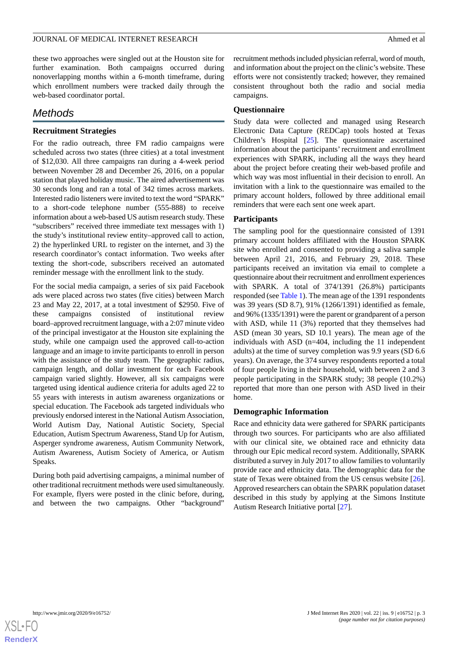these two approaches were singled out at the Houston site for further examination. Both campaigns occurred during nonoverlapping months within a 6-month timeframe, during which enrollment numbers were tracked daily through the web-based coordinator portal.

# *Methods*

## **Recruitment Strategies**

For the radio outreach, three FM radio campaigns were scheduled across two states (three cities) at a total investment of \$12,030. All three campaigns ran during a 4-week period between November 28 and December 26, 2016, on a popular station that played holiday music. The aired advertisement was 30 seconds long and ran a total of 342 times across markets. Interested radio listeners were invited to text the word "SPARK" to a short-code telephone number (555-888) to receive information about a web-based US autism research study. These "subscribers" received three immediate text messages with 1) the study's institutional review entity–approved call to action, 2) the hyperlinked URL to register on the internet, and 3) the research coordinator's contact information. Two weeks after texting the short-code, subscribers received an automated reminder message with the enrollment link to the study.

For the social media campaign, a series of six paid Facebook ads were placed across two states (five cities) between March 23 and May 22, 2017, at a total investment of \$2950. Five of these campaigns consisted of institutional review board–approved recruitment language, with a 2:07 minute video of the principal investigator at the Houston site explaining the study, while one campaign used the approved call-to-action language and an image to invite participants to enroll in person with the assistance of the study team. The geographic radius, campaign length, and dollar investment for each Facebook campaign varied slightly. However, all six campaigns were targeted using identical audience criteria for adults aged 22 to 55 years with interests in autism awareness organizations or special education. The Facebook ads targeted individuals who previously endorsed interest in the National Autism Association, World Autism Day, National Autistic Society, Special Education, Autism Spectrum Awareness, Stand Up for Autism, Asperger syndrome awareness, Autism Community Network, Autism Awareness, Autism Society of America, or Autism Speaks.

During both paid advertising campaigns, a minimal number of other traditional recruitment methods were used simultaneously. For example, flyers were posted in the clinic before, during, and between the two campaigns. Other "background"

recruitment methods included physician referral, word of mouth, and information about the project on the clinic's website. These efforts were not consistently tracked; however, they remained consistent throughout both the radio and social media campaigns.

#### **Questionnaire**

Study data were collected and managed using Research Electronic Data Capture (REDCap) tools hosted at Texas Children's Hospital [\[25](#page-8-8)]. The questionnaire ascertained information about the participants'recruitment and enrollment experiences with SPARK, including all the ways they heard about the project before creating their web-based profile and which way was most influential in their decision to enroll. An invitation with a link to the questionnaire was emailed to the primary account holders, followed by three additional email reminders that were each sent one week apart.

#### **Participants**

The sampling pool for the questionnaire consisted of 1391 primary account holders affiliated with the Houston SPARK site who enrolled and consented to providing a saliva sample between April 21, 2016, and February 29, 2018. These participants received an invitation via email to complete a questionnaire about their recruitment and enrollment experiences with SPARK. A total of 374/1391 (26.8%) participants responded (see [Table 1\)](#page-3-0). The mean age of the 1391 respondents was 39 years (SD 8.7), 91% (1266/1391) identified as female, and 96% (1335/1391) were the parent or grandparent of a person with ASD, while 11 (3%) reported that they themselves had ASD (mean 30 years, SD 10.1 years). The mean age of the individuals with ASD (n=404, including the 11 independent adults) at the time of survey completion was 9.9 years (SD 6.6 years). On average, the 374 survey respondents reported a total of four people living in their household, with between 2 and 3 people participating in the SPARK study; 38 people (10.2%) reported that more than one person with ASD lived in their home.

#### **Demographic Information**

Race and ethnicity data were gathered for SPARK participants through two sources. For participants who are also affiliated with our clinical site, we obtained race and ethnicity data through our Epic medical record system. Additionally, SPARK distributed a survey in July 2017 to allow families to voluntarily provide race and ethnicity data. The demographic data for the state of Texas were obtained from the US census website [[26\]](#page-8-9). Approved researchers can obtain the SPARK population dataset described in this study by applying at the Simons Institute Autism Research Initiative portal [\[27](#page-8-10)].

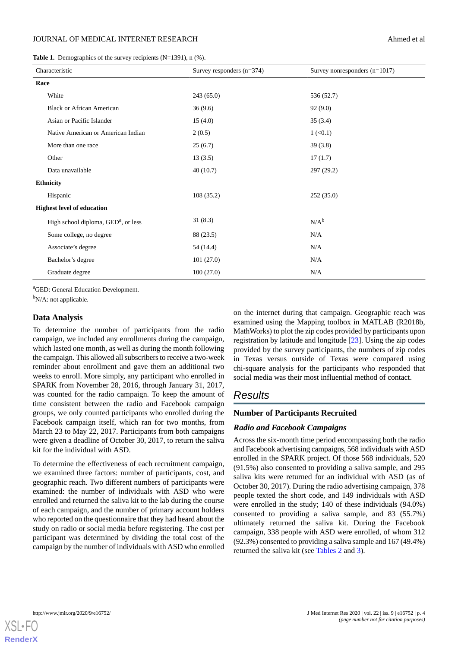#### JOURNAL OF MEDICAL INTERNET RESEARCH Ahmed et al.

<span id="page-3-0"></span>Table 1. Demographics of the survey recipients (N=1391), n (%).

| Characteristic                        | Survey responders $(n=374)$ | Survey nonresponders $(n=1017)$ |  |  |  |
|---------------------------------------|-----------------------------|---------------------------------|--|--|--|
| Race                                  |                             |                                 |  |  |  |
| White                                 | 243(65.0)                   | 536 (52.7)                      |  |  |  |
| <b>Black or African American</b>      | 36(9.6)                     | 92(9.0)                         |  |  |  |
| Asian or Pacific Islander             | 15(4.0)                     | 35(3.4)                         |  |  |  |
| Native American or American Indian    | 2(0.5)                      | $1 (\le 0.1)$                   |  |  |  |
| More than one race                    | 25(6.7)                     | 39(3.8)                         |  |  |  |
| Other                                 | 13(3.5)                     | 17(1.7)                         |  |  |  |
| Data unavailable                      | 40(10.7)                    | 297 (29.2)                      |  |  |  |
| <b>Ethnicity</b>                      |                             |                                 |  |  |  |
| Hispanic                              | 108(35.2)                   | 252(35.0)                       |  |  |  |
| <b>Highest level of education</b>     |                             |                                 |  |  |  |
| High school diploma, $GEDa$ , or less | 31(8.3)                     | $N/A^b$                         |  |  |  |
| Some college, no degree               | 88 (23.5)                   | N/A                             |  |  |  |
| Associate's degree                    | 54 (14.4)                   | N/A                             |  |  |  |
| Bachelor's degree                     | 101(27.0)                   | N/A                             |  |  |  |
| Graduate degree                       | 100(27.0)                   | N/A                             |  |  |  |

<sup>a</sup>GED: General Education Development.

 $b_{N/A}$ : not applicable.

#### **Data Analysis**

To determine the number of participants from the radio campaign, we included any enrollments during the campaign, which lasted one month, as well as during the month following the campaign. This allowed all subscribers to receive a two-week reminder about enrollment and gave them an additional two weeks to enroll. More simply, any participant who enrolled in SPARK from November 28, 2016, through January 31, 2017, was counted for the radio campaign. To keep the amount of time consistent between the radio and Facebook campaign groups, we only counted participants who enrolled during the Facebook campaign itself, which ran for two months, from March 23 to May 22, 2017. Participants from both campaigns were given a deadline of October 30, 2017, to return the saliva kit for the individual with ASD.

To determine the effectiveness of each recruitment campaign, we examined three factors: number of participants, cost, and geographic reach. Two different numbers of participants were examined: the number of individuals with ASD who were enrolled and returned the saliva kit to the lab during the course of each campaign, and the number of primary account holders who reported on the questionnaire that they had heard about the study on radio or social media before registering. The cost per participant was determined by dividing the total cost of the campaign by the number of individuals with ASD who enrolled

on the internet during that campaign. Geographic reach was examined using the Mapping toolbox in MATLAB (R2018b, MathWorks) to plot the zip codes provided by participants upon registration by latitude and longitude [\[23](#page-8-6)]. Using the zip codes provided by the survey participants, the numbers of zip codes in Texas versus outside of Texas were compared using chi-square analysis for the participants who responded that social media was their most influential method of contact.

# *Results*

#### **Number of Participants Recruited**

#### *Radio and Facebook Campaigns*

Across the six-month time period encompassing both the radio and Facebook advertising campaigns, 568 individuals with ASD enrolled in the SPARK project. Of those 568 individuals, 520 (91.5%) also consented to providing a saliva sample, and 295 saliva kits were returned for an individual with ASD (as of October 30, 2017). During the radio advertising campaign, 378 people texted the short code, and 149 individuals with ASD were enrolled in the study; 140 of these individuals (94.0%) consented to providing a saliva sample, and 83 (55.7%) ultimately returned the saliva kit. During the Facebook campaign, 338 people with ASD were enrolled, of whom 312 (92.3%) consented to providing a saliva sample and 167 (49.4%) returned the saliva kit (see [Tables 2](#page-4-0) and [3\)](#page-4-1).

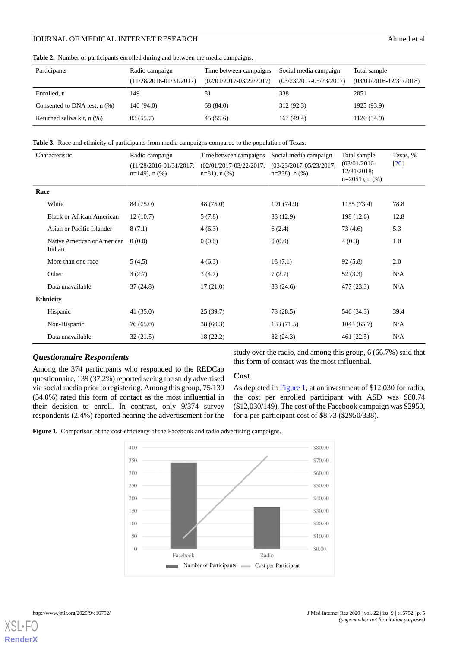## JOURNAL OF MEDICAL INTERNET RESEARCH Ahmed et al.

<span id="page-4-0"></span>**Table 2.** Number of participants enrolled during and between the media campaigns.

| Participants                     | Radio campaign<br>$(11/28/2016-01/31/2017)$ | Time between campaigns<br>$(02/01/2017 - 03/22/2017)$ | Social media campaign<br>$(03/23/2017 - 05/23/2017)$ | Total sample<br>$(03/01/2016 - 12/31/2018)$ |
|----------------------------------|---------------------------------------------|-------------------------------------------------------|------------------------------------------------------|---------------------------------------------|
| Enrolled, n                      | 149                                         | -81                                                   | 338                                                  | 2051                                        |
| Consented to DNA test, $n$ $%$ ) | 140 (94.0)                                  | 68 (84.0)                                             | 312 (92.3)                                           | 1925 (93.9)                                 |
| Returned saliva kit, n (%)       | 83 (55.7)                                   | 45(55.6)                                              | 167(49.4)                                            | 1126 (54.9)                                 |

<span id="page-4-1"></span>**Table 3.** Race and ethnicity of participants from media campaigns compared to the population of Texas.

|                  | Characteristic                        | Radio campaign<br>$(11/28/2016 - 01/31/2017)$ ;<br>$n=149$ , n $(\% )$ | Time between campaigns<br>$(02/01/2017 - 03/22/2017)$ ;<br>$n=81$ , n $(\%)$ | Social media campaign<br>(03/23/2017-05/23/2017;<br>$n=338$ , n $(\% )$ | Total sample<br>$(03/01/2016 -$<br>12/31/2018;<br>$n=2051$ , n $(\% )$ | Texas, %<br>$\lceil 26 \rceil$ |
|------------------|---------------------------------------|------------------------------------------------------------------------|------------------------------------------------------------------------------|-------------------------------------------------------------------------|------------------------------------------------------------------------|--------------------------------|
| Race             |                                       |                                                                        |                                                                              |                                                                         |                                                                        |                                |
|                  | White                                 | 84 (75.0)                                                              | 48 (75.0)                                                                    | 191 (74.9)                                                              | 1155 (73.4)                                                            | 78.8                           |
|                  | <b>Black or African American</b>      | 12(10.7)                                                               | 5(7.8)                                                                       | 33(12.9)                                                                | 198 (12.6)                                                             | 12.8                           |
|                  | Asian or Pacific Islander             | 8(7.1)                                                                 | 4(6.3)                                                                       | 6(2.4)                                                                  | 73 (4.6)                                                               | 5.3                            |
|                  | Native American or American<br>Indian | 0(0.0)                                                                 | 0(0.0)                                                                       | 0(0.0)                                                                  | 4(0.3)                                                                 | 1.0                            |
|                  | More than one race                    | 5(4.5)                                                                 | 4(6.3)                                                                       | 18(7.1)                                                                 | 92(5.8)                                                                | 2.0                            |
|                  | Other                                 | 3(2.7)                                                                 | 3(4.7)                                                                       | 7(2.7)                                                                  | 52(3.3)                                                                | N/A                            |
|                  | Data unavailable                      | 37(24.8)                                                               | 17(21.0)                                                                     | 83 (24.6)                                                               | 477 (23.3)                                                             | N/A                            |
| <b>Ethnicity</b> |                                       |                                                                        |                                                                              |                                                                         |                                                                        |                                |
|                  | Hispanic                              | 41(35.0)                                                               | 25(39.7)                                                                     | 73 (28.5)                                                               | 546 (34.3)                                                             | 39.4                           |
|                  | Non-Hispanic                          | 76(65.0)                                                               | 38(60.3)                                                                     | 183 (71.5)                                                              | 1044(65.7)                                                             | N/A                            |
|                  | Data unavailable                      | 32(21.5)                                                               | 18(22.2)                                                                     | 82 (24.3)                                                               | 461 (22.5)                                                             | N/A                            |

## *Questionnaire Respondents*

<span id="page-4-2"></span>Among the 374 participants who responded to the REDCap questionnaire, 139 (37.2%) reported seeing the study advertised via social media prior to registering. Among this group, 75/139 (54.0%) rated this form of contact as the most influential in their decision to enroll. In contrast, only 9/374 survey respondents (2.4%) reported hearing the advertisement for the study over the radio, and among this group, 6 (66.7%) said that this form of contact was the most influential.

#### **Cost**

As depicted in [Figure 1](#page-4-2), at an investment of \$12,030 for radio, the cost per enrolled participant with ASD was \$80.74 (\$12,030/149). The cost of the Facebook campaign was \$2950, for a per-participant cost of \$8.73 (\$2950/338).

Figure 1. Comparison of the cost-efficiency of the Facebook and radio advertising campaigns.



[XSL](http://www.w3.org/Style/XSL)•FO **[RenderX](http://www.renderx.com/)**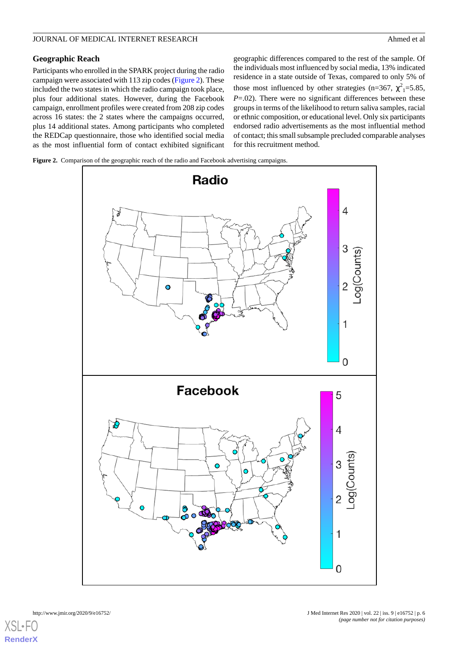## JOURNAL OF MEDICAL INTERNET RESEARCH Ahmed et al.

# **Geographic Reach**

Participants who enrolled in the SPARK project during the radio campaign were associated with 113 zip codes ([Figure 2\)](#page-5-0). These included the two states in which the radio campaign took place, plus four additional states. However, during the Facebook campaign, enrollment profiles were created from 208 zip codes across 16 states: the 2 states where the campaigns occurred, plus 14 additional states. Among participants who completed the REDCap questionnaire, those who identified social media as the most influential form of contact exhibited significant geographic differences compared to the rest of the sample. Of the individuals most influenced by social media, 13% indicated residence in a state outside of Texas, compared to only 5% of those most influenced by other strategies (n=367,  $\chi^2$ <sub>1</sub>=5.85, *P*=.02). There were no significant differences between these groups in terms of the likelihood to return saliva samples, racial or ethnic composition, or educational level. Only six participants endorsed radio advertisements as the most influential method of contact; this small subsample precluded comparable analyses for this recruitment method.

<span id="page-5-0"></span>**Figure 2.** Comparison of the geographic reach of the radio and Facebook advertising campaigns.



 $X$ SL•F **[RenderX](http://www.renderx.com/)**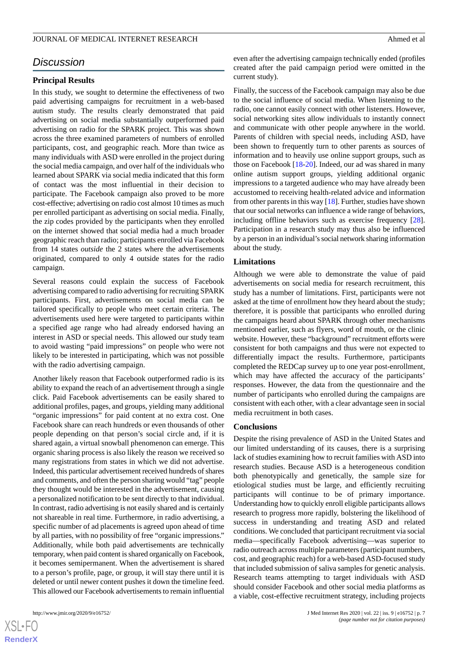# *Discussion*

#### **Principal Results**

In this study, we sought to determine the effectiveness of two paid advertising campaigns for recruitment in a web-based autism study. The results clearly demonstrated that paid advertising on social media substantially outperformed paid advertising on radio for the SPARK project. This was shown across the three examined parameters of numbers of enrolled participants, cost, and geographic reach. More than twice as many individuals with ASD were enrolled in the project during the social media campaign, and over half of the individuals who learned about SPARK via social media indicated that this form of contact was the most influential in their decision to participate. The Facebook campaign also proved to be more cost-effective; advertising on radio cost almost 10 times as much per enrolled participant as advertising on social media. Finally, the zip codes provided by the participants when they enrolled on the internet showed that social media had a much broader geographic reach than radio; participants enrolled via Facebook from 14 states *outside* the 2 states where the advertisements originated, compared to only 4 outside states for the radio campaign.

Several reasons could explain the success of Facebook advertising compared to radio advertising for recruiting SPARK participants. First, advertisements on social media can be tailored specifically to people who meet certain criteria. The advertisements used here were targeted to participants within a specified age range who had already endorsed having an interest in ASD or special needs. This allowed our study team to avoid wasting "paid impressions" on people who were not likely to be interested in participating, which was not possible with the radio advertising campaign.

Another likely reason that Facebook outperformed radio is its ability to expand the reach of an advertisement through a single click. Paid Facebook advertisements can be easily shared to additional profiles, pages, and groups, yielding many additional "organic impressions" for paid content at no extra cost. One Facebook share can reach hundreds or even thousands of other people depending on that person's social circle and, if it is shared again, a virtual snowball phenomenon can emerge. This organic sharing process is also likely the reason we received so many registrations from states in which we did not advertise. Indeed, this particular advertisement received hundreds of shares and comments, and often the person sharing would "tag" people they thought would be interested in the advertisement, causing a personalized notification to be sent directly to that individual. In contrast, radio advertising is not easily shared and is certainly not shareable in real time. Furthermore, in radio advertising, a specific number of ad placements is agreed upon ahead of time by all parties, with no possibility of free "organic impressions." Additionally, while both paid advertisements are technically temporary, when paid content is shared organically on Facebook, it becomes semipermanent. When the advertisement is shared to a person's profile, page, or group, it will stay there until it is deleted or until newer content pushes it down the timeline feed. This allowed our Facebook advertisements to remain influential

even after the advertising campaign technically ended (profiles created after the paid campaign period were omitted in the current study).

Finally, the success of the Facebook campaign may also be due to the social influence of social media. When listening to the radio, one cannot easily connect with other listeners. However, social networking sites allow individuals to instantly connect and communicate with other people anywhere in the world. Parents of children with special needs, including ASD, have been shown to frequently turn to other parents as sources of information and to heavily use online support groups, such as those on Facebook [[18-](#page-8-2)[20](#page-8-3)]. Indeed, our ad was shared in many online autism support groups, yielding additional organic impressions to a targeted audience who may have already been accustomed to receiving health-related advice and information from other parents in this way [[18\]](#page-8-2). Further, studies have shown that our social networks can influence a wide range of behaviors, including offline behaviors such as exercise frequency [[28\]](#page-8-11). Participation in a research study may thus also be influenced by a person in an individual's social network sharing information about the study.

#### **Limitations**

Although we were able to demonstrate the value of paid advertisements on social media for research recruitment, this study has a number of limitations. First, participants were not asked at the time of enrollment how they heard about the study; therefore, it is possible that participants who enrolled during the campaigns heard about SPARK through other mechanisms mentioned earlier, such as flyers, word of mouth, or the clinic website. However, these "background" recruitment efforts were consistent for both campaigns and thus were not expected to differentially impact the results. Furthermore, participants completed the REDCap survey up to one year post-enrollment, which may have affected the accuracy of the participants' responses. However, the data from the questionnaire and the number of participants who enrolled during the campaigns are consistent with each other, with a clear advantage seen in social media recruitment in both cases.

#### **Conclusions**

Despite the rising prevalence of ASD in the United States and our limited understanding of its causes, there is a surprising lack of studies examining how to recruit families with ASD into research studies. Because ASD is a heterogeneous condition both phenotypically and genetically, the sample size for etiological studies must be large, and efficiently recruiting participants will continue to be of primary importance. Understanding how to quickly enroll eligible participants allows research to progress more rapidly, bolstering the likelihood of success in understanding and treating ASD and related conditions. We concluded that participant recruitment via social media—specifically Facebook advertising—was superior to radio outreach across multiple parameters (participant numbers, cost, and geographic reach) for a web-based ASD-focused study that included submission of saliva samples for genetic analysis. Research teams attempting to target individuals with ASD should consider Facebook and other social media platforms as a viable, cost-effective recruitment strategy, including projects

```
XS\cdotFC
RenderX
```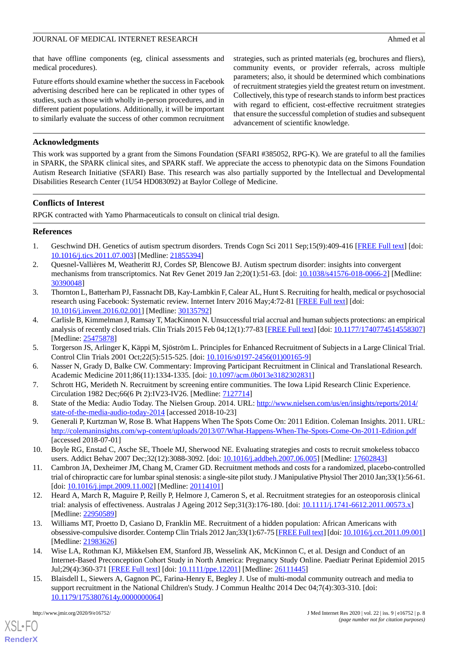that have offline components (eg, clinical assessments and medical procedures).

Future efforts should examine whether the success in Facebook advertising described here can be replicated in other types of studies, such as those with wholly in-person procedures, and in different patient populations. Additionally, it will be important to similarly evaluate the success of other common recruitment strategies, such as printed materials (eg, brochures and fliers), community events, or provider referrals, across multiple parameters; also, it should be determined which combinations of recruitment strategies yield the greatest return on investment. Collectively, this type of research stands to inform best practices with regard to efficient, cost-effective recruitment strategies that ensure the successful completion of studies and subsequent advancement of scientific knowledge.

# **Acknowledgments**

This work was supported by a grant from the Simons Foundation (SFARI #385052, RPG-K). We are grateful to all the families in SPARK, the SPARK clinical sites, and SPARK staff. We appreciate the access to phenotypic data on the Simons Foundation Autism Research Initiative (SFARI) Base. This research was also partially supported by the Intellectual and Developmental Disabilities Research Center (1U54 HD083092) at Baylor College of Medicine.

# **Conflicts of Interest**

<span id="page-7-0"></span>RPGK contracted with Yamo Pharmaceuticals to consult on clinical trial design.

# <span id="page-7-1"></span>**References**

- 1. Geschwind DH. Genetics of autism spectrum disorders. Trends Cogn Sci 2011 Sep;15(9):409-416 [\[FREE Full text](http://europepmc.org/abstract/MED/21855394)] [doi: [10.1016/j.tics.2011.07.003\]](http://dx.doi.org/10.1016/j.tics.2011.07.003) [Medline: [21855394](http://www.ncbi.nlm.nih.gov/entrez/query.fcgi?cmd=Retrieve&db=PubMed&list_uids=21855394&dopt=Abstract)]
- <span id="page-7-2"></span>2. Quesnel-Vallières M, Weatheritt RJ, Cordes SP, Blencowe BJ. Autism spectrum disorder: insights into convergent mechanisms from transcriptomics. Nat Rev Genet 2019 Jan 2;20(1):51-63. [doi: [10.1038/s41576-018-0066-2](http://dx.doi.org/10.1038/s41576-018-0066-2)] [Medline: [30390048](http://www.ncbi.nlm.nih.gov/entrez/query.fcgi?cmd=Retrieve&db=PubMed&list_uids=30390048&dopt=Abstract)]
- <span id="page-7-3"></span>3. Thornton L, Batterham PJ, Fassnacht DB, Kay-Lambkin F, Calear AL, Hunt S. Recruiting for health, medical or psychosocial research using Facebook: Systematic review. Internet Interv 2016 May;4:72-81 [\[FREE Full text\]](https://linkinghub.elsevier.com/retrieve/pii/S2214-7829(15)30016-6) [doi: [10.1016/j.invent.2016.02.001](http://dx.doi.org/10.1016/j.invent.2016.02.001)] [Medline: [30135792\]](http://www.ncbi.nlm.nih.gov/entrez/query.fcgi?cmd=Retrieve&db=PubMed&list_uids=30135792&dopt=Abstract)
- <span id="page-7-5"></span><span id="page-7-4"></span>4. Carlisle B, Kimmelman J, Ramsay T, MacKinnon N. Unsuccessful trial accrual and human subjects protections: an empirical analysis of recently closed trials. Clin Trials 2015 Feb 04;12(1):77-83 [[FREE Full text\]](http://europepmc.org/abstract/MED/25475878) [doi: [10.1177/1740774514558307](http://dx.doi.org/10.1177/1740774514558307)] [Medline: [25475878](http://www.ncbi.nlm.nih.gov/entrez/query.fcgi?cmd=Retrieve&db=PubMed&list_uids=25475878&dopt=Abstract)]
- <span id="page-7-6"></span>5. Torgerson JS, Arlinger K, Käppi M, Sjöström L. Principles for Enhanced Recruitment of Subjects in a Large Clinical Trial. Control Clin Trials 2001 Oct;22(5):515-525. [doi: [10.1016/s0197-2456\(01\)00165-9](http://dx.doi.org/10.1016/s0197-2456(01)00165-9)]
- <span id="page-7-7"></span>6. Nasser N, Grady D, Balke CW. Commentary: Improving Participant Recruitment in Clinical and Translational Research. Academic Medicine 2011;86(11):1334-1335. [doi: [10.1097/acm.0b013e3182302831\]](http://dx.doi.org/10.1097/acm.0b013e3182302831)
- <span id="page-7-8"></span>7. Schrott HG, Merideth N. Recruitment by screening entire communities. The Iowa Lipid Research Clinic Experience. Circulation 1982 Dec;66(6 Pt 2):IV23-IV26. [Medline: [7127714](http://www.ncbi.nlm.nih.gov/entrez/query.fcgi?cmd=Retrieve&db=PubMed&list_uids=7127714&dopt=Abstract)]
- <span id="page-7-9"></span>8. State of the Media: Audio Today. The Nielsen Group. 2014. URL: [http://www.nielsen.com/us/en/insights/reports/2014/](http://www.nielsen.com/us/en/insights/reports/2014/state-of-the-media-audio-today-2014) [state-of-the-media-audio-today-2014](http://www.nielsen.com/us/en/insights/reports/2014/state-of-the-media-audio-today-2014) [accessed 2018-10-23]
- <span id="page-7-11"></span>9. Generali P, Kurtzman W, Rose B. What Happens When The Spots Come On: 2011 Edition. Coleman Insights. 2011. URL: <http://colemaninsights.com/wp-content/uploads/2013/07/What-Happens-When-The-Spots-Come-On-2011-Edition.pdf> [accessed 2018-07-01]
- 10. Boyle RG, Enstad C, Asche SE, Thoele MJ, Sherwood NE. Evaluating strategies and costs to recruit smokeless tobacco users. Addict Behav 2007 Dec;32(12):3088-3092. [doi: [10.1016/j.addbeh.2007.06.005](http://dx.doi.org/10.1016/j.addbeh.2007.06.005)] [Medline: [17602843\]](http://www.ncbi.nlm.nih.gov/entrez/query.fcgi?cmd=Retrieve&db=PubMed&list_uids=17602843&dopt=Abstract)
- 11. Cambron JA, Dexheimer JM, Chang M, Cramer GD. Recruitment methods and costs for a randomized, placebo-controlled trial of chiropractic care for lumbar spinal stenosis: a single-site pilot study. J Manipulative Physiol Ther 2010 Jan;33(1):56-61. [doi: [10.1016/j.jmpt.2009.11.002](http://dx.doi.org/10.1016/j.jmpt.2009.11.002)] [Medline: [20114101](http://www.ncbi.nlm.nih.gov/entrez/query.fcgi?cmd=Retrieve&db=PubMed&list_uids=20114101&dopt=Abstract)]
- <span id="page-7-10"></span>12. Heard A, March R, Maguire P, Reilly P, Helmore J, Cameron S, et al. Recruitment strategies for an osteoporosis clinical trial: analysis of effectiveness. Australas J Ageing 2012 Sep;31(3):176-180. [doi: [10.1111/j.1741-6612.2011.00573.x](http://dx.doi.org/10.1111/j.1741-6612.2011.00573.x)] [Medline: [22950589](http://www.ncbi.nlm.nih.gov/entrez/query.fcgi?cmd=Retrieve&db=PubMed&list_uids=22950589&dopt=Abstract)]
- <span id="page-7-12"></span>13. Williams MT, Proetto D, Casiano D, Franklin ME. Recruitment of a hidden population: African Americans with obsessive-compulsive disorder. Contemp Clin Trials 2012 Jan;33(1):67-75 [\[FREE Full text](http://europepmc.org/abstract/MED/21983626)] [doi: [10.1016/j.cct.2011.09.001\]](http://dx.doi.org/10.1016/j.cct.2011.09.001) [Medline: [21983626](http://www.ncbi.nlm.nih.gov/entrez/query.fcgi?cmd=Retrieve&db=PubMed&list_uids=21983626&dopt=Abstract)]
- 14. Wise LA, Rothman KJ, Mikkelsen EM, Stanford JB, Wesselink AK, McKinnon C, et al. Design and Conduct of an Internet-Based Preconception Cohort Study in North America: Pregnancy Study Online. Paediatr Perinat Epidemiol 2015 Jul;29(4):360-371 [[FREE Full text\]](http://europepmc.org/abstract/MED/26111445) [doi: [10.1111/ppe.12201](http://dx.doi.org/10.1111/ppe.12201)] [Medline: [26111445](http://www.ncbi.nlm.nih.gov/entrez/query.fcgi?cmd=Retrieve&db=PubMed&list_uids=26111445&dopt=Abstract)]
- 15. Blaisdell L, Siewers A, Gagnon PC, Farina-Henry E, Begley J. Use of multi-modal community outreach and media to support recruitment in the National Children's Study. J Commun Healthc 2014 Dec 04;7(4):303-310. [doi: [10.1179/1753807614y.0000000064\]](http://dx.doi.org/10.1179/1753807614y.0000000064)

[XSL](http://www.w3.org/Style/XSL)•FO **[RenderX](http://www.renderx.com/)**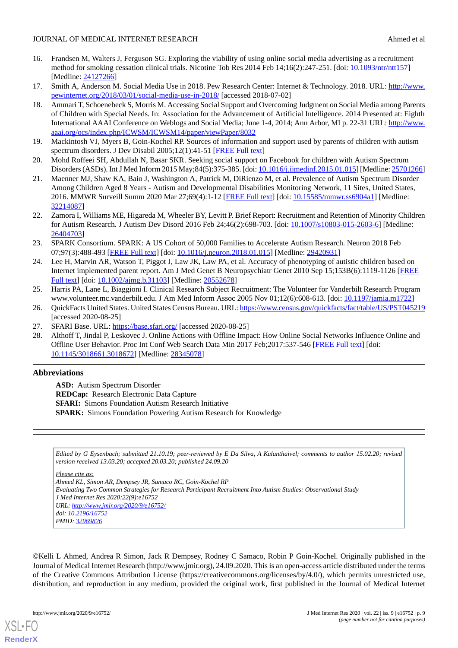- <span id="page-8-0"></span>16. Frandsen M, Walters J, Ferguson SG. Exploring the viability of using online social media advertising as a recruitment method for smoking cessation clinical trials. Nicotine Tob Res 2014 Feb 14;16(2):247-251. [doi: [10.1093/ntr/ntt157](http://dx.doi.org/10.1093/ntr/ntt157)] [Medline: [24127266](http://www.ncbi.nlm.nih.gov/entrez/query.fcgi?cmd=Retrieve&db=PubMed&list_uids=24127266&dopt=Abstract)]
- <span id="page-8-2"></span><span id="page-8-1"></span>17. Smith A, Anderson M. Social Media Use in 2018. Pew Research Center: Internet & Technology. 2018. URL: [http://www.](http://www.pewinternet.org/2018/03/01/social-media-use-in-2018/) [pewinternet.org/2018/03/01/social-media-use-in-2018/](http://www.pewinternet.org/2018/03/01/social-media-use-in-2018/) [accessed 2018-07-02]
- 18. Ammari T, Schoenebeck S, Morris M. Accessing Social Support and Overcoming Judgment on Social Media among Parents of Children with Special Needs. In: Association for the Advancement of Artificial Intelligence. 2014 Presented at: Eighth International AAAI Conference on Weblogs and Social Media; June 1-4, 2014; Ann Arbor, MI p. 22-31 URL: [http://www.](http://www.aaai.org/ocs/index.php/ICWSM/ICWSM14/paper/viewPaper/8032) [aaai.org/ocs/index.php/ICWSM/ICWSM14/paper/viewPaper/8032](http://www.aaai.org/ocs/index.php/ICWSM/ICWSM14/paper/viewPaper/8032)
- <span id="page-8-3"></span>19. Mackintosh VJ, Myers B, Goin-Kochel RP. Sources of information and support used by parents of children with autism spectrum disorders. J Dev Disabil 2005;12(1):41-51 [\[FREE Full text\]](https://oadd.org/wp-content/uploads/2016/12/mackintoshEtAl.pdf)
- <span id="page-8-4"></span>20. Mohd Roffeei SH, Abdullah N, Basar SKR. Seeking social support on Facebook for children with Autism Spectrum Disorders (ASDs). Int J Med Inform 2015 May;84(5):375-385. [doi: [10.1016/j.ijmedinf.2015.01.015](http://dx.doi.org/10.1016/j.ijmedinf.2015.01.015)] [Medline: [25701266](http://www.ncbi.nlm.nih.gov/entrez/query.fcgi?cmd=Retrieve&db=PubMed&list_uids=25701266&dopt=Abstract)]
- <span id="page-8-5"></span>21. Maenner MJ, Shaw KA, Baio J, Washington A, Patrick M, DiRienzo M, et al. Prevalence of Autism Spectrum Disorder Among Children Aged 8 Years - Autism and Developmental Disabilities Monitoring Network, 11 Sites, United States, 2016. MMWR Surveill Summ 2020 Mar 27;69(4):1-12 [[FREE Full text](http://europepmc.org/abstract/MED/32214087)] [doi: [10.15585/mmwr.ss6904a1\]](http://dx.doi.org/10.15585/mmwr.ss6904a1) [Medline: [32214087](http://www.ncbi.nlm.nih.gov/entrez/query.fcgi?cmd=Retrieve&db=PubMed&list_uids=32214087&dopt=Abstract)]
- <span id="page-8-6"></span>22. Zamora I, Williams ME, Higareda M, Wheeler BY, Levitt P. Brief Report: Recruitment and Retention of Minority Children for Autism Research. J Autism Dev Disord 2016 Feb 24;46(2):698-703. [doi: [10.1007/s10803-015-2603-6](http://dx.doi.org/10.1007/s10803-015-2603-6)] [Medline: [26404703](http://www.ncbi.nlm.nih.gov/entrez/query.fcgi?cmd=Retrieve&db=PubMed&list_uids=26404703&dopt=Abstract)]
- <span id="page-8-7"></span>23. SPARK Consortium. SPARK: A US Cohort of 50,000 Families to Accelerate Autism Research. Neuron 2018 Feb 07;97(3):488-493 [[FREE Full text](https://linkinghub.elsevier.com/retrieve/pii/S0896-6273(18)30018-7)] [doi: [10.1016/j.neuron.2018.01.015](http://dx.doi.org/10.1016/j.neuron.2018.01.015)] [Medline: [29420931](http://www.ncbi.nlm.nih.gov/entrez/query.fcgi?cmd=Retrieve&db=PubMed&list_uids=29420931&dopt=Abstract)]
- <span id="page-8-8"></span>24. Lee H, Marvin AR, Watson T, Piggot J, Law JK, Law PA, et al. Accuracy of phenotyping of autistic children based on Internet implemented parent report. Am J Med Genet B Neuropsychiatr Genet 2010 Sep 15;153B(6):1119-1126 [\[FREE](http://europepmc.org/abstract/MED/20552678) [Full text\]](http://europepmc.org/abstract/MED/20552678) [doi: [10.1002/ajmg.b.31103](http://dx.doi.org/10.1002/ajmg.b.31103)] [Medline: [20552678\]](http://www.ncbi.nlm.nih.gov/entrez/query.fcgi?cmd=Retrieve&db=PubMed&list_uids=20552678&dopt=Abstract)
- <span id="page-8-10"></span><span id="page-8-9"></span>25. Harris PA, Lane L, Biaggioni I. Clinical Research Subject Recruitment: The Volunteer for Vanderbilt Research Program www.volunteer.mc.vanderbilt.edu. J Am Med Inform Assoc 2005 Nov 01;12(6):608-613. [doi: [10.1197/jamia.m1722](http://dx.doi.org/10.1197/jamia.m1722)]
- <span id="page-8-11"></span>26. QuickFacts United States. United States Census Bureau. URL:<https://www.census.gov/quickfacts/fact/table/US/PST045219> [accessed 2020-08-25]
- 27. SFARI Base. URL:<https://base.sfari.org/> [accessed 2020-08-25]
- 28. Althoff T, Jindal P, Leskovec J. Online Actions with Offline Impact: How Online Social Networks Influence Online and Offline User Behavior. Proc Int Conf Web Search Data Min 2017 Feb;2017:537-546 [[FREE Full text](http://europepmc.org/abstract/MED/28345078)] [doi: [10.1145/3018661.3018672](http://dx.doi.org/10.1145/3018661.3018672)] [Medline: [28345078](http://www.ncbi.nlm.nih.gov/entrez/query.fcgi?cmd=Retrieve&db=PubMed&list_uids=28345078&dopt=Abstract)]

# **Abbreviations**

**ASD:** Autism Spectrum Disorder **REDCap:** Research Electronic Data Capture **SFARI:** Simons Foundation Autism Research Initiative **SPARK:** Simons Foundation Powering Autism Research for Knowledge

*Edited by G Eysenbach; submitted 21.10.19; peer-reviewed by E Da Silva, A Kulanthaivel; comments to author 15.02.20; revised version received 13.03.20; accepted 20.03.20; published 24.09.20*

*Please cite as:*

*Ahmed KL, Simon AR, Dempsey JR, Samaco RC, Goin-Kochel RP Evaluating Two Common Strategies for Research Participant Recruitment Into Autism Studies: Observational Study J Med Internet Res 2020;22(9):e16752 URL: <http://www.jmir.org/2020/9/e16752/> doi: [10.2196/16752](http://dx.doi.org/10.2196/16752) PMID: [32969826](http://www.ncbi.nlm.nih.gov/entrez/query.fcgi?cmd=Retrieve&db=PubMed&list_uids=32969826&dopt=Abstract)*

©Kelli L Ahmed, Andrea R Simon, Jack R Dempsey, Rodney C Samaco, Robin P Goin-Kochel. Originally published in the Journal of Medical Internet Research (http://www.jmir.org), 24.09.2020. This is an open-access article distributed under the terms of the Creative Commons Attribution License (https://creativecommons.org/licenses/by/4.0/), which permits unrestricted use, distribution, and reproduction in any medium, provided the original work, first published in the Journal of Medical Internet

[XSL](http://www.w3.org/Style/XSL)•FO **[RenderX](http://www.renderx.com/)**